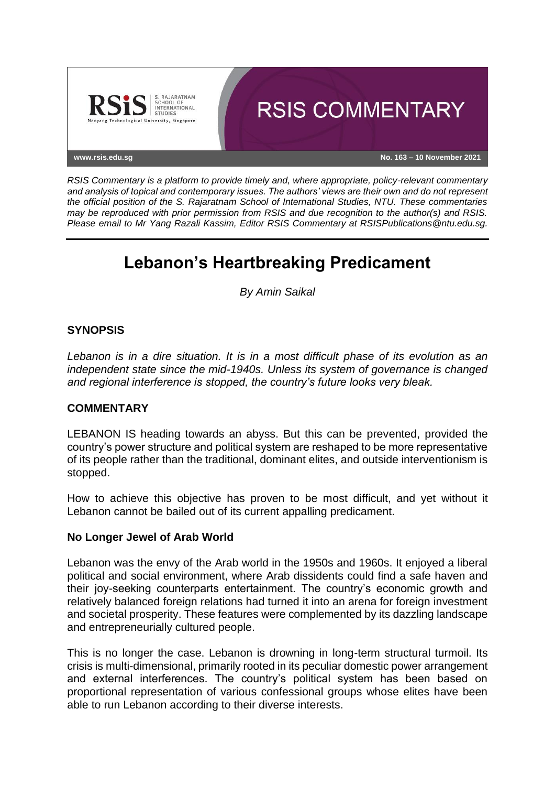

*RSIS Commentary is a platform to provide timely and, where appropriate, policy-relevant commentary and analysis of topical and contemporary issues. The authors' views are their own and do not represent the official position of the S. Rajaratnam School of International Studies, NTU. These commentaries may be reproduced with prior permission from RSIS and due recognition to the author(s) and RSIS. Please email to Mr Yang Razali Kassim, Editor RSIS Commentary at RSISPublications@ntu.edu.sg.*

# **Lebanon's Heartbreaking Predicament**

*By Amin Saikal*

## **SYNOPSIS**

*Lebanon is in a dire situation. It is in a most difficult phase of its evolution as an independent state since the mid-1940s. Unless its system of governance is changed and regional interference is stopped, the country's future looks very bleak.*

#### **COMMENTARY**

LEBANON IS heading towards an abyss. But this can be prevented, provided the country's power structure and political system are reshaped to be more representative of its people rather than the traditional, dominant elites, and outside interventionism is stopped.

How to achieve this objective has proven to be most difficult, and yet without it Lebanon cannot be bailed out of its current appalling predicament.

#### **No Longer Jewel of Arab World**

Lebanon was the envy of the Arab world in the 1950s and 1960s. It enjoyed a liberal political and social environment, where Arab dissidents could find a safe haven and their joy-seeking counterparts entertainment. The country's economic growth and relatively balanced foreign relations had turned it into an arena for foreign investment and societal prosperity. These features were complemented by its dazzling landscape and entrepreneurially cultured people.

This is no longer the case. Lebanon is drowning in long-term structural turmoil. Its crisis is multi-dimensional, primarily rooted in its peculiar domestic power arrangement and external interferences. The country's political system has been based on proportional representation of various confessional groups whose elites have been able to run Lebanon according to their diverse interests.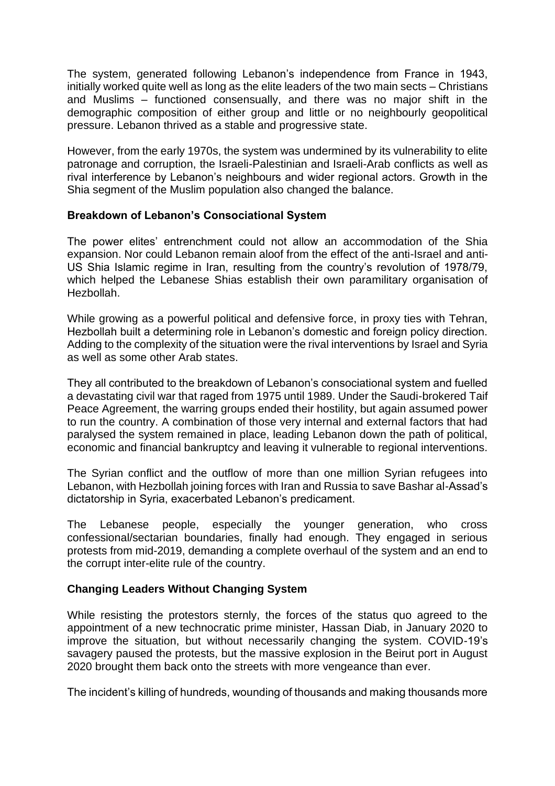The system, generated following Lebanon's independence from France in 1943, initially worked quite well as long as the elite leaders of the two main sects – Christians and Muslims – functioned consensually, and there was no major shift in the demographic composition of either group and little or no neighbourly geopolitical pressure. Lebanon thrived as a stable and progressive state.

However, from the early 1970s, the system was undermined by its vulnerability to elite patronage and corruption, the Israeli-Palestinian and Israeli-Arab conflicts as well as rival interference by Lebanon's neighbours and wider regional actors. Growth in the Shia segment of the Muslim population also changed the balance.

### **Breakdown of Lebanon's Consociational System**

The power elites' entrenchment could not allow an accommodation of the Shia expansion. Nor could Lebanon remain aloof from the effect of the anti-Israel and anti-US Shia Islamic regime in Iran, resulting from the country's revolution of 1978/79, which helped the Lebanese Shias establish their own paramilitary organisation of Hezbollah.

While growing as a powerful political and defensive force, in proxy ties with Tehran, Hezbollah built a determining role in Lebanon's domestic and foreign policy direction. Adding to the complexity of the situation were the rival interventions by Israel and Syria as well as some other Arab states.

They all contributed to the breakdown of Lebanon's consociational system and fuelled a devastating civil war that raged from 1975 until 1989. Under the Saudi-brokered Taif Peace Agreement, the warring groups ended their hostility, but again assumed power to run the country. A combination of those very internal and external factors that had paralysed the system remained in place, leading Lebanon down the path of political, economic and financial bankruptcy and leaving it vulnerable to regional interventions.

The Syrian conflict and the outflow of more than one million Syrian refugees into Lebanon, with Hezbollah joining forces with Iran and Russia to save Bashar al-Assad's dictatorship in Syria, exacerbated Lebanon's predicament.

The Lebanese people, especially the younger generation, who cross confessional/sectarian boundaries, finally had enough. They engaged in serious protests from mid-2019, demanding a complete overhaul of the system and an end to the corrupt inter-elite rule of the country.

#### **Changing Leaders Without Changing System**

While resisting the protestors sternly, the forces of the status quo agreed to the appointment of a new technocratic prime minister, Hassan Diab, in January 2020 to improve the situation, but without necessarily changing the system. COVID-19's savagery paused the protests, but the massive explosion in the Beirut port in August 2020 brought them back onto the streets with more vengeance than ever.

The incident's killing of hundreds, wounding of thousands and making thousands more